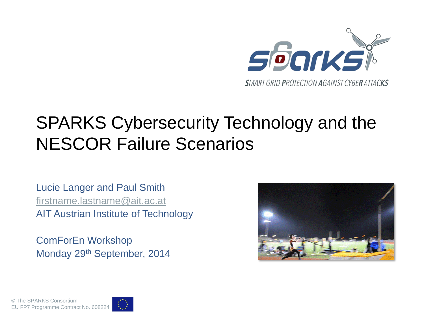

### SPARKS Cybersecurity Technology and the NESCOR Failure Scenarios

Lucie Langer and Paul Smith [firstname.lastname@ait.ac.at](mailto:firstname.lastname@ait.ac.at) AIT Austrian Institute of Technology

ComForEn Workshop Monday 29th September, 2014



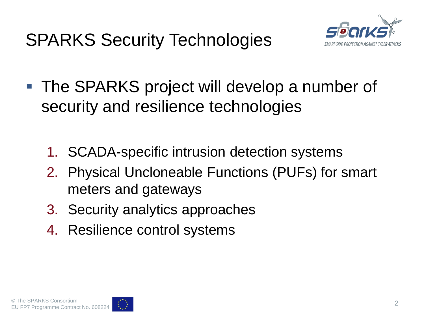

- The SPARKS project will develop a number of security and resilience technologies
	- 1. SCADA-specific intrusion detection systems
	- 2. Physical Uncloneable Functions (PUFs) for smart meters and gateways
	- 3. Security analytics approaches
	- 4. Resilience control systems

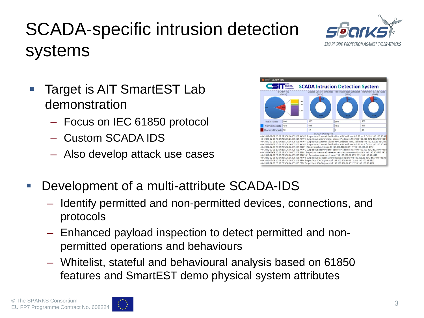## SCADA-specific intrusion detection systems



- **Target is AIT SmartEST Lab** demonstration
	- Focus on IEC 61850 protocol
	- Custom SCADA IDS
	- Also develop attack use cases



- Development of a multi-attribute SCADA-IDS
	- Identify permitted and non-permitted devices, connections, and protocols
	- Enhanced payload inspection to detect permitted and nonpermitted operations and behaviours
	- Whitelist, stateful and behavioural analysis based on 61850 features and SmartEST demo physical system attributes

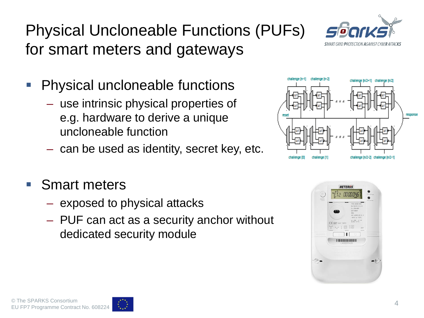### Physical Uncloneable Functions (PUFs) for smart meters and gateways



- Physical uncloneable functions
	- use intrinsic physical properties of e.g. hardware to derive a unique uncloneable function
	- can be used as identity, secret key, etc.
- Smart meters
	- exposed to physical attacks
	- PUF can act as a security anchor without dedicated security module





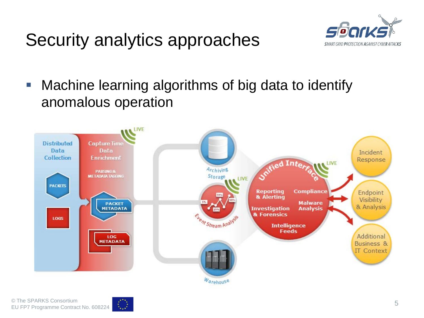### Security analytics approaches



■ Machine learning algorithms of big data to identify anomalous operation



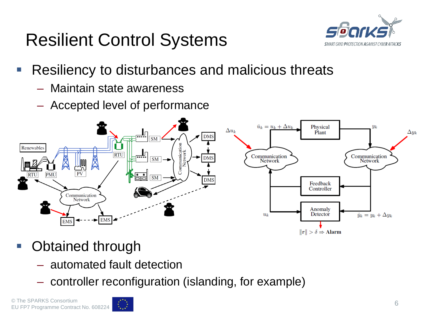## Resilient Control Systems



- Resiliency to disturbances and malicious threats
	- Maintain state awareness
	- Accepted level of performance



- Obtained through
	- automated fault detection
	- controller reconfiguration (islanding, for example)

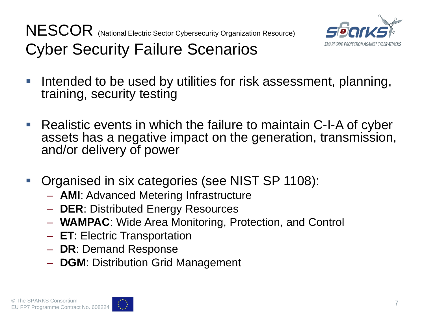

### Cyber Security Failure Scenarios

- Intended to be used by utilities for risk assessment, planning, training, security testing
- Realistic events in which the failure to maintain C-I-A of cyber assets has a negative impact on the generation, transmission, and/or delivery of power
- **Organised in six categories (see NIST SP 1108):** 
	- **AMI**: Advanced Metering Infrastructure
	- **DER**: Distributed Energy Resources
	- **WAMPAC**: Wide Area Monitoring, Protection, and Control
	- **ET**: Electric Transportation
	- **DR**: Demand Response
	- **DGM**: Distribution Grid Management

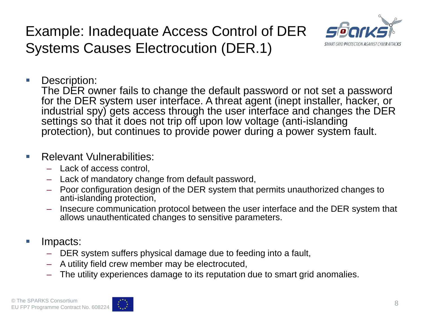### Example: Inadequate Access Control of DER Systems Causes Electrocution (DER.1)



**Description:** 

The DER owner fails to change the default password or not set a password for the DER system user interface. A threat agent (inept installer, hacker, or industrial spy) gets access through the user interface and changes the DER settings so that it does not trip off upon low voltage (anti-islanding protection), but continues to provide power during a power system fault.

#### **Relevant Vulnerabilities:**

- Lack of access control,
- Lack of mandatory change from default password,
- Poor configuration design of the DER system that permits unauthorized changes to anti-islanding protection,
- Insecure communication protocol between the user interface and the DER system that allows unauthenticated changes to sensitive parameters.
- Impacts:
	- DER system suffers physical damage due to feeding into a fault,
	- A utility field crew member may be electrocuted,
	- The utility experiences damage to its reputation due to smart grid anomalies.

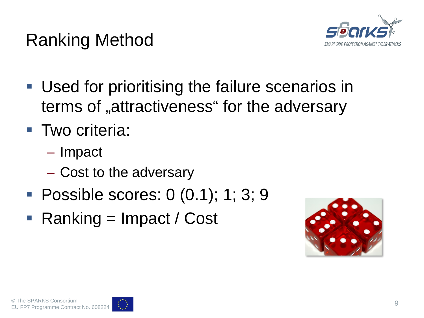



- Used for prioritising the failure scenarios in terms of "attractiveness" for the adversary
- Two criteria:
	- Impact
	- Cost to the adversary
- **Possible scores: 0 (0.1); 1; 3; 9**
- Ranking = Impact / Cost



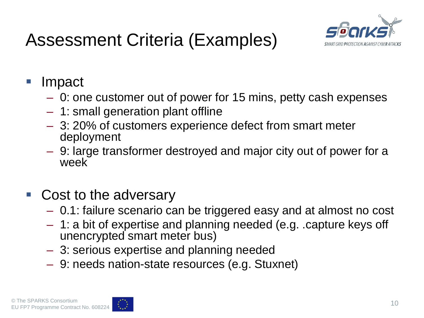## Assessment Criteria (Examples)



- Impact
	- 0: one customer out of power for 15 mins, petty cash expenses
	- 1: small generation plant offline
	- 3: 20% of customers experience defect from smart meter deployment
	- 9: large transformer destroyed and major city out of power for a week
- Cost to the adversary
	- 0.1: failure scenario can be triggered easy and at almost no cost
	- 1: a bit of expertise and planning needed (e.g. .capture keys off unencrypted smart meter bus)
	- 3: serious expertise and planning needed
	- 9: needs nation-state resources (e.g. Stuxnet)

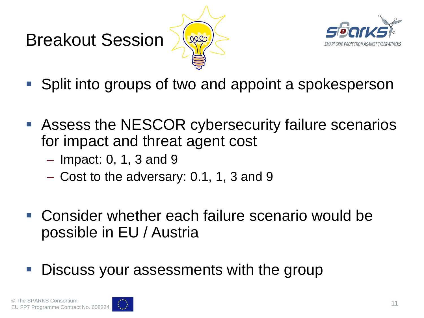# Breakout Session





- Split into groups of two and appoint a spokesperson
- Assess the NESCOR cybersecurity failure scenarios for impact and threat agent cost
	- Impact: 0, 1, 3 and 9
	- Cost to the adversary: 0.1, 1, 3 and 9
- Consider whether each failure scenario would be possible in EU / Austria
- Discuss your assessments with the group